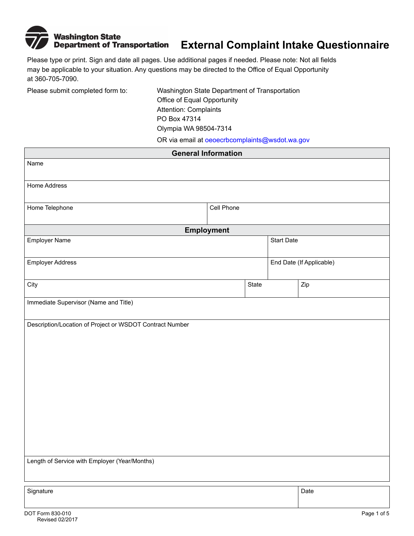

 may be applicable to your situation. Any questions may be directed to the Office of Equal Opportunity Please type or print. Sign and date all pages. Use additional pages if needed. Please note: Not all fields at 360-705-7090.

Please submit completed form to: Washington State Department of Transportation Office of Equal Opportunity Attention: Complaints PO Box 47314 Olympia WA 98504-7314

OR via email at oeoecrbcomplaints@wsdot.wa.gov

| <b>General Information</b>                               |                   |       |                          |      |  |
|----------------------------------------------------------|-------------------|-------|--------------------------|------|--|
| Name                                                     |                   |       |                          |      |  |
|                                                          |                   |       |                          |      |  |
| Home Address                                             |                   |       |                          |      |  |
| Home Telephone<br>Cell Phone                             |                   |       |                          |      |  |
|                                                          | <b>Employment</b> |       |                          |      |  |
| <b>Employer Name</b>                                     |                   |       | <b>Start Date</b>        |      |  |
| <b>Employer Address</b>                                  |                   |       | End Date (If Applicable) |      |  |
| City                                                     |                   | State |                          | Zip  |  |
| Immediate Supervisor (Name and Title)                    |                   |       |                          |      |  |
| Description/Location of Project or WSDOT Contract Number |                   |       |                          |      |  |
|                                                          |                   |       |                          |      |  |
|                                                          |                   |       |                          |      |  |
|                                                          |                   |       |                          |      |  |
|                                                          |                   |       |                          |      |  |
|                                                          |                   |       |                          |      |  |
|                                                          |                   |       |                          |      |  |
|                                                          |                   |       |                          |      |  |
|                                                          |                   |       |                          |      |  |
|                                                          |                   |       |                          |      |  |
|                                                          |                   |       |                          |      |  |
| Length of Service with Employer (Year/Months)            |                   |       |                          |      |  |
| Signature                                                |                   |       |                          | Date |  |
|                                                          |                   |       |                          |      |  |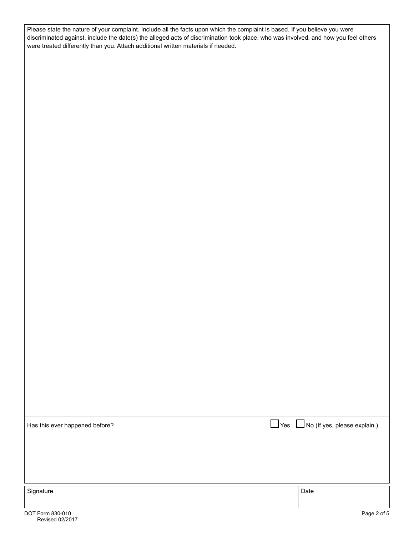Please state the nature of your complaint. Include all the facts upon which the complaint is based. If you believe you were discriminated against, include the date(s) the alleged acts of discrimination took place, who was involved, and how you feel others were treated differently than you. Attach additional written materials if needed.

Has this ever happened before?  $\Box$  Yes  $\Box$  No (If yes, please explain.) Signature Date Date of the Date of the Date of the Date of the Date of the Date of the Date of the Date of the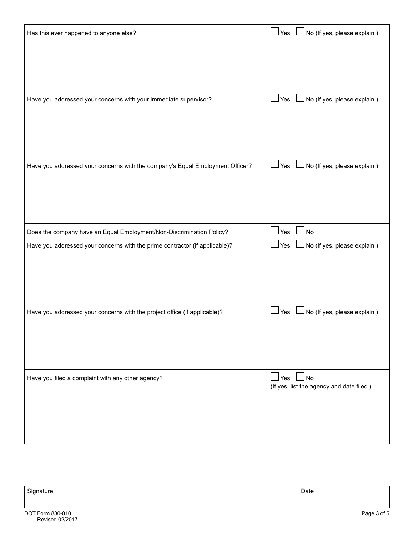| Has this ever happened to anyone else?                                        | Yes U No (If yes, please explain.)                                |
|-------------------------------------------------------------------------------|-------------------------------------------------------------------|
|                                                                               |                                                                   |
|                                                                               |                                                                   |
| Have you addressed your concerns with your immediate supervisor?              | $\Box$ Yes $\Box$ No (If yes, please explain.)                    |
|                                                                               |                                                                   |
|                                                                               |                                                                   |
| Have you addressed your concerns with the company's Equal Employment Officer? | └┘Yes └┘No (If yes, please explain.)                              |
|                                                                               |                                                                   |
|                                                                               |                                                                   |
| Does the company have an Equal Employment/Non-Discrimination Policy?          | $\Box$ Yes<br>$\Box$ No                                           |
| Have you addressed your concerns with the prime contractor (if applicable)?   | $\Box$ No (If yes, please explain.)<br>$\Box$ Yes                 |
|                                                                               |                                                                   |
|                                                                               |                                                                   |
| Have you addressed your concerns with the project office (if applicable)?     | No (If yes, please explain.)<br>$\mathsf{\underline{\sqcup}}$ Yes |
|                                                                               |                                                                   |
|                                                                               |                                                                   |
| Have you filed a complaint with any other agency?                             | $\Box$ Yes $\Box$ No<br>(If yes, list the agency and date filed.) |
|                                                                               |                                                                   |
|                                                                               |                                                                   |
|                                                                               |                                                                   |

| $\mathbf{\hat{}}$ | Date |
|-------------------|------|
|                   |      |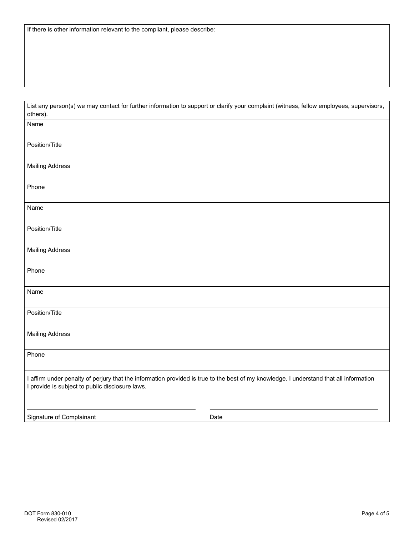| List any person(s) we may contact for further information to support or clarify your complaint (witness, fellow employees, supervisors, |  |
|-----------------------------------------------------------------------------------------------------------------------------------------|--|
| others).                                                                                                                                |  |

| Name                                                                                                                                                                                      |      |
|-------------------------------------------------------------------------------------------------------------------------------------------------------------------------------------------|------|
| Position/Title                                                                                                                                                                            |      |
| <b>Mailing Address</b>                                                                                                                                                                    |      |
| Phone                                                                                                                                                                                     |      |
| Name                                                                                                                                                                                      |      |
| Position/Title                                                                                                                                                                            |      |
| <b>Mailing Address</b>                                                                                                                                                                    |      |
| Phone                                                                                                                                                                                     |      |
| Name                                                                                                                                                                                      |      |
| Position/Title                                                                                                                                                                            |      |
| <b>Mailing Address</b>                                                                                                                                                                    |      |
| Phone                                                                                                                                                                                     |      |
| I affirm under penalty of perjury that the information provided is true to the best of my knowledge. I understand that all information<br>I provide is subject to public disclosure laws. |      |
| Signature of Complainant                                                                                                                                                                  | Date |